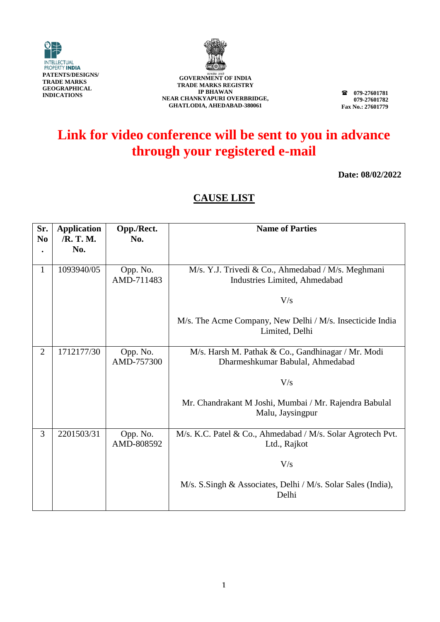



**079-27601781 079-27601782 Fax No.: 27601779**

## **Link for video conference will be sent to you in advance through your registered e-mail**

**Date: 08/02/2022**

| Sr.<br>N <sub>0</sub> | <b>Application</b><br>/R. T. M. | Opp./Rect.<br>No.      | <b>Name of Parties</b>                                                                 |
|-----------------------|---------------------------------|------------------------|----------------------------------------------------------------------------------------|
|                       | No.                             |                        |                                                                                        |
| 1                     | 1093940/05                      | Opp. No.<br>AMD-711483 | M/s. Y.J. Trivedi & Co., Ahmedabad / M/s. Meghmani<br>Industries Limited, Ahmedabad    |
|                       |                                 |                        | V/s                                                                                    |
|                       |                                 |                        | M/s. The Acme Company, New Delhi / M/s. Insecticide India<br>Limited, Delhi            |
| $\overline{2}$        | 1712177/30                      | Opp. No.<br>AMD-757300 | M/s. Harsh M. Pathak & Co., Gandhinagar / Mr. Modi<br>Dharmeshkumar Babulal, Ahmedabad |
|                       |                                 |                        | V/s                                                                                    |
|                       |                                 |                        | Mr. Chandrakant M Joshi, Mumbai / Mr. Rajendra Babulal<br>Malu, Jaysingpur             |
| 3                     | 2201503/31                      | Opp. No.<br>AMD-808592 | M/s. K.C. Patel & Co., Ahmedabad / M/s. Solar Agrotech Pvt.<br>Ltd., Rajkot            |
|                       |                                 |                        | V/s                                                                                    |
|                       |                                 |                        | M/s. S.Singh & Associates, Delhi / M/s. Solar Sales (India),<br>Delhi                  |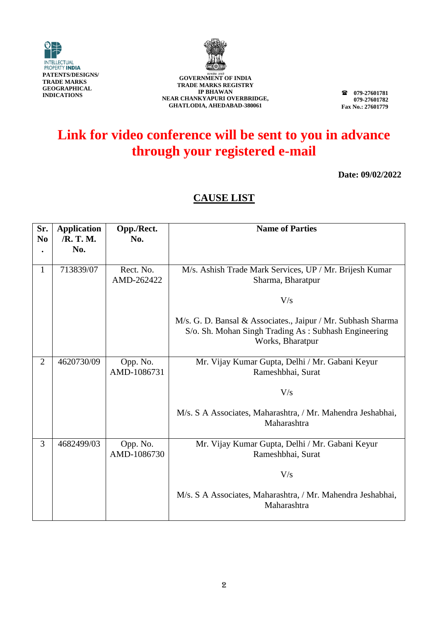



**079-27601781 079-27601782 Fax No.: 27601779**

## **Link for video conference will be sent to you in advance through your registered e-mail**

**Date: 09/02/2022**

| Sr.<br>N <sub>0</sub> | <b>Application</b><br>/R. T. M. | Opp./Rect.<br>No.       | <b>Name of Parties</b>                                                                                                                   |
|-----------------------|---------------------------------|-------------------------|------------------------------------------------------------------------------------------------------------------------------------------|
|                       | No.                             |                         |                                                                                                                                          |
| 1                     | 713839/07                       | Rect. No.<br>AMD-262422 | M/s. Ashish Trade Mark Services, UP / Mr. Brijesh Kumar<br>Sharma, Bharatpur                                                             |
|                       |                                 |                         | V/s                                                                                                                                      |
|                       |                                 |                         | M/s. G. D. Bansal & Associates., Jaipur / Mr. Subhash Sharma<br>S/o. Sh. Mohan Singh Trading As: Subhash Engineering<br>Works, Bharatpur |
| $\overline{2}$        | 4620730/09                      | Opp. No.<br>AMD-1086731 | Mr. Vijay Kumar Gupta, Delhi / Mr. Gabani Keyur<br>Rameshbhai, Surat                                                                     |
|                       |                                 |                         | V/s                                                                                                                                      |
|                       |                                 |                         | M/s. S A Associates, Maharashtra, / Mr. Mahendra Jeshabhai,<br>Maharashtra                                                               |
| $\overline{3}$        | 4682499/03                      | Opp. No.<br>AMD-1086730 | Mr. Vijay Kumar Gupta, Delhi / Mr. Gabani Keyur<br>Rameshbhai, Surat                                                                     |
|                       |                                 |                         | V/s                                                                                                                                      |
|                       |                                 |                         | M/s. S A Associates, Maharashtra, / Mr. Mahendra Jeshabhai,<br>Maharashtra                                                               |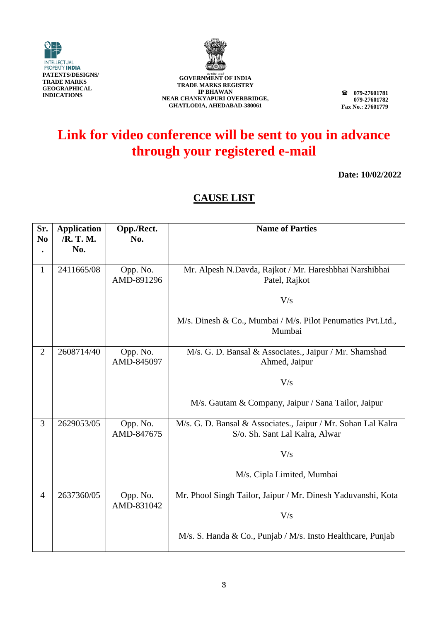



**079-27601781 079-27601782 Fax No.: 27601779**

## **Link for video conference will be sent to you in advance through your registered e-mail**

**Date: 10/02/2022**

| Sr.            | <b>Application</b> | Opp./Rect.             | <b>Name of Parties</b>                                                                          |
|----------------|--------------------|------------------------|-------------------------------------------------------------------------------------------------|
| N <sub>0</sub> | /R. T. M.          | No.                    |                                                                                                 |
|                | No.                |                        |                                                                                                 |
| $\mathbf{1}$   | 2411665/08         | Opp. No.<br>AMD-891296 | Mr. Alpesh N.Davda, Rajkot / Mr. Hareshbhai Narshibhai<br>Patel, Rajkot                         |
|                |                    |                        | V/s                                                                                             |
|                |                    |                        | M/s. Dinesh & Co., Mumbai / M/s. Pilot Penumatics Pvt.Ltd.,<br>Mumbai                           |
| $\overline{2}$ | 2608714/40         | Opp. No.<br>AMD-845097 | M/s. G. D. Bansal & Associates., Jaipur / Mr. Shamshad<br>Ahmed, Jaipur                         |
|                |                    |                        | V/s                                                                                             |
|                |                    |                        | M/s. Gautam & Company, Jaipur / Sana Tailor, Jaipur                                             |
| 3              | 2629053/05         | Opp. No.<br>AMD-847675 | M/s. G. D. Bansal & Associates., Jaipur / Mr. Sohan Lal Kalra<br>S/o. Sh. Sant Lal Kalra, Alwar |
|                |                    |                        | V/s                                                                                             |
|                |                    |                        | M/s. Cipla Limited, Mumbai                                                                      |
| $\overline{4}$ | 2637360/05         | Opp. No.<br>AMD-831042 | Mr. Phool Singh Tailor, Jaipur / Mr. Dinesh Yaduvanshi, Kota                                    |
|                |                    |                        | V/s                                                                                             |
|                |                    |                        | M/s. S. Handa & Co., Punjab / M/s. Insto Healthcare, Punjab                                     |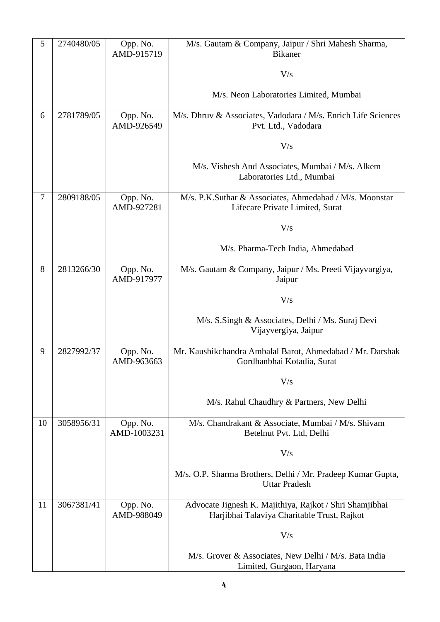| 5      | 2740480/05 | Opp. No.<br>AMD-915719  | M/s. Gautam & Company, Jaipur / Shri Mahesh Sharma,<br><b>Bikaner</b>                                  |
|--------|------------|-------------------------|--------------------------------------------------------------------------------------------------------|
|        |            |                         | V/s                                                                                                    |
|        |            |                         | M/s. Neon Laboratories Limited, Mumbai                                                                 |
| 6      | 2781789/05 | Opp. No.<br>AMD-926549  | M/s. Dhruv & Associates, Vadodara / M/s. Enrich Life Sciences<br>Pvt. Ltd., Vadodara                   |
|        |            |                         | V/s                                                                                                    |
|        |            |                         | M/s. Vishesh And Associates, Mumbai / M/s. Alkem<br>Laboratories Ltd., Mumbai                          |
| $\tau$ | 2809188/05 | Opp. No.<br>AMD-927281  | M/s. P.K.Suthar & Associates, Ahmedabad / M/s. Moonstar<br>Lifecare Private Limited, Surat             |
|        |            |                         | V/s                                                                                                    |
|        |            |                         | M/s. Pharma-Tech India, Ahmedabad                                                                      |
| 8      | 2813266/30 | Opp. No.<br>AMD-917977  | M/s. Gautam & Company, Jaipur / Ms. Preeti Vijayvargiya,<br>Jaipur                                     |
|        |            |                         | V/s                                                                                                    |
|        |            |                         | M/s. S.Singh & Associates, Delhi / Ms. Suraj Devi<br>Vijayvergiya, Jaipur                              |
| 9      | 2827992/37 | Opp. No.<br>AMD-963663  | Mr. Kaushikchandra Ambalal Barot, Ahmedabad / Mr. Darshak<br>Gordhanbhai Kotadia, Surat                |
|        |            |                         | V/s                                                                                                    |
|        |            |                         | M/s. Rahul Chaudhry & Partners, New Delhi                                                              |
| 10     | 3058956/31 | Opp. No.<br>AMD-1003231 | M/s. Chandrakant & Associate, Mumbai / M/s. Shivam<br>Betelnut Pvt. Ltd, Delhi                         |
|        |            |                         | V/s                                                                                                    |
|        |            |                         | M/s. O.P. Sharma Brothers, Delhi / Mr. Pradeep Kumar Gupta,<br><b>Uttar Pradesh</b>                    |
| 11     | 3067381/41 | Opp. No.<br>AMD-988049  | Advocate Jignesh K. Majithiya, Rajkot / Shri Shamjibhai<br>Harjibhai Talaviya Charitable Trust, Rajkot |
|        |            |                         | V/s                                                                                                    |
|        |            |                         | M/s. Grover & Associates, New Delhi / M/s. Bata India<br>Limited, Gurgaon, Haryana                     |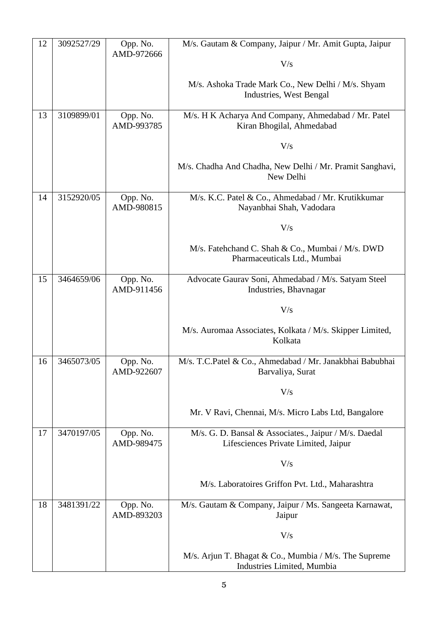| 12 | 3092527/29 | Opp. No.               | M/s. Gautam & Company, Jaipur / Mr. Amit Gupta, Jaipur                                        |
|----|------------|------------------------|-----------------------------------------------------------------------------------------------|
|    |            | AMD-972666             | V/s                                                                                           |
|    |            |                        | M/s. Ashoka Trade Mark Co., New Delhi / M/s. Shyam<br>Industries, West Bengal                 |
| 13 | 3109899/01 | Opp. No.<br>AMD-993785 | M/s. H K Acharya And Company, Ahmedabad / Mr. Patel<br>Kiran Bhogilal, Ahmedabad              |
|    |            |                        | V/s                                                                                           |
|    |            |                        | M/s. Chadha And Chadha, New Delhi / Mr. Pramit Sanghavi,<br>New Delhi                         |
| 14 | 3152920/05 | Opp. No.<br>AMD-980815 | M/s. K.C. Patel & Co., Ahmedabad / Mr. Krutikkumar<br>Nayanbhai Shah, Vadodara                |
|    |            |                        | V/s                                                                                           |
|    |            |                        | M/s. Fatehchand C. Shah & Co., Mumbai / M/s. DWD<br>Pharmaceuticals Ltd., Mumbai              |
| 15 | 3464659/06 | Opp. No.<br>AMD-911456 | Advocate Gaurav Soni, Ahmedabad / M/s. Satyam Steel<br>Industries, Bhavnagar                  |
|    |            |                        | V/s                                                                                           |
|    |            |                        | M/s. Auromaa Associates, Kolkata / M/s. Skipper Limited,<br>Kolkata                           |
| 16 | 3465073/05 | Opp. No.<br>AMD-922607 | M/s. T.C.Patel & Co., Ahmedabad / Mr. Janakbhai Babubhai<br>Barvaliya, Surat                  |
|    |            |                        | V/s                                                                                           |
|    |            |                        | Mr. V Ravi, Chennai, M/s. Micro Labs Ltd, Bangalore                                           |
| 17 | 3470197/05 | Opp. No.<br>AMD-989475 | M/s. G. D. Bansal & Associates., Jaipur / M/s. Daedal<br>Lifesciences Private Limited, Jaipur |
|    |            |                        | V/s                                                                                           |
|    |            |                        | M/s. Laboratoires Griffon Pvt. Ltd., Maharashtra                                              |
| 18 | 3481391/22 | Opp. No.<br>AMD-893203 | M/s. Gautam & Company, Jaipur / Ms. Sangeeta Karnawat,<br>Jaipur                              |
|    |            |                        | V/s                                                                                           |
|    |            |                        | M/s. Arjun T. Bhagat & Co., Mumbia / M/s. The Supreme<br>Industries Limited, Mumbia           |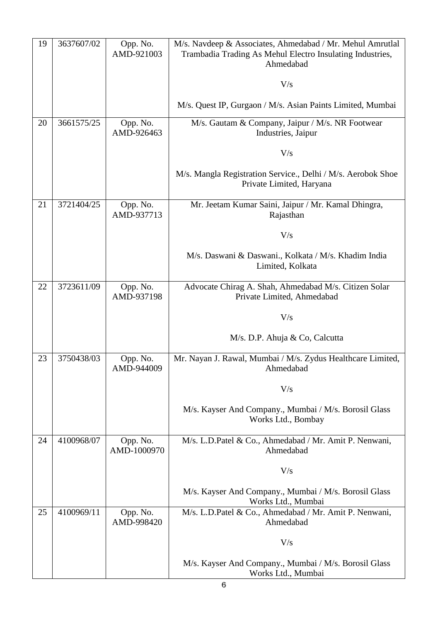| 19 | 3637607/02 | Opp. No.<br>AMD-921003  | M/s. Navdeep & Associates, Ahmedabad / Mr. Mehul Amrutlal<br>Trambadia Trading As Mehul Electro Insulating Industries,<br>Ahmedabad |
|----|------------|-------------------------|-------------------------------------------------------------------------------------------------------------------------------------|
|    |            |                         | V/s                                                                                                                                 |
|    |            |                         | M/s. Quest IP, Gurgaon / M/s. Asian Paints Limited, Mumbai                                                                          |
| 20 | 3661575/25 | Opp. No.<br>AMD-926463  | M/s. Gautam & Company, Jaipur / M/s. NR Footwear<br>Industries, Jaipur                                                              |
|    |            |                         | V/s                                                                                                                                 |
|    |            |                         | M/s. Mangla Registration Service., Delhi / M/s. Aerobok Shoe<br>Private Limited, Haryana                                            |
| 21 | 3721404/25 | Opp. No.<br>AMD-937713  | Mr. Jeetam Kumar Saini, Jaipur / Mr. Kamal Dhingra,<br>Rajasthan                                                                    |
|    |            |                         | V/s                                                                                                                                 |
|    |            |                         | M/s. Daswani & Daswani., Kolkata / M/s. Khadim India<br>Limited, Kolkata                                                            |
| 22 | 3723611/09 | Opp. No.<br>AMD-937198  | Advocate Chirag A. Shah, Ahmedabad M/s. Citizen Solar<br>Private Limited, Ahmedabad                                                 |
|    |            |                         | V/s                                                                                                                                 |
|    |            |                         | M/s. D.P. Ahuja & Co, Calcutta                                                                                                      |
| 23 | 3750438/03 | Opp. No.<br>AMD-944009  | Mr. Nayan J. Rawal, Mumbai / M/s. Zydus Healthcare Limited,<br>Ahmedabad                                                            |
|    |            |                         | V/s                                                                                                                                 |
|    |            |                         | M/s. Kayser And Company., Mumbai / M/s. Borosil Glass<br>Works Ltd., Bombay                                                         |
| 24 | 4100968/07 | Opp. No.<br>AMD-1000970 | M/s. L.D.Patel & Co., Ahmedabad / Mr. Amit P. Nenwani,<br>Ahmedabad                                                                 |
|    |            |                         | V/s                                                                                                                                 |
|    |            |                         | M/s. Kayser And Company., Mumbai / M/s. Borosil Glass<br>Works Ltd., Mumbai                                                         |
| 25 | 4100969/11 | Opp. No.<br>AMD-998420  | M/s. L.D.Patel & Co., Ahmedabad / Mr. Amit P. Nenwani,<br>Ahmedabad                                                                 |
|    |            |                         | V/s                                                                                                                                 |
|    |            |                         | M/s. Kayser And Company., Mumbai / M/s. Borosil Glass<br>Works Ltd., Mumbai                                                         |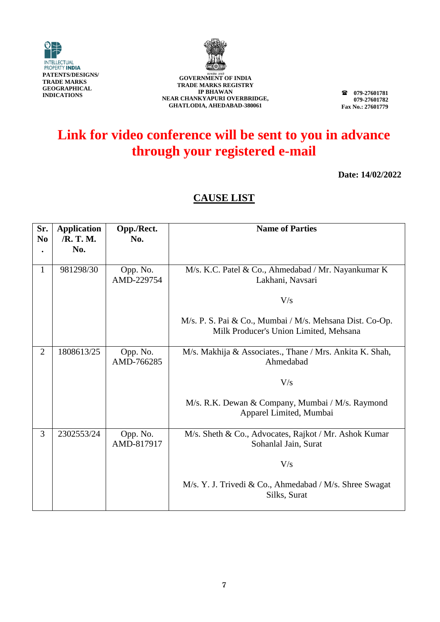



**079-27601781 079-27601782 Fax No.: 27601779**

### **Link for video conference will be sent to you in advance through your registered e-mail**

**Date: 14/02/2022**

| Sr.<br>N <sub>0</sub> | <b>Application</b><br>/R. T. M.<br>No. | Opp./Rect.<br>No.      | <b>Name of Parties</b>                                                                             |
|-----------------------|----------------------------------------|------------------------|----------------------------------------------------------------------------------------------------|
| 1                     | 981298/30                              | Opp. No.<br>AMD-229754 | M/s. K.C. Patel & Co., Ahmedabad / Mr. Nayankumar K<br>Lakhani, Navsari                            |
|                       |                                        |                        | V/s                                                                                                |
|                       |                                        |                        | M/s. P. S. Pai & Co., Mumbai / M/s. Mehsana Dist. Co-Op.<br>Milk Producer's Union Limited, Mehsana |
| $\overline{2}$        | 1808613/25                             | Opp. No.<br>AMD-766285 | M/s. Makhija & Associates., Thane / Mrs. Ankita K. Shah,<br>Ahmedabad                              |
|                       |                                        |                        | V/s                                                                                                |
|                       |                                        |                        | M/s. R.K. Dewan & Company, Mumbai / M/s. Raymond<br>Apparel Limited, Mumbai                        |
| 3                     | 2302553/24                             | Opp. No.<br>AMD-817917 | M/s. Sheth & Co., Advocates, Rajkot / Mr. Ashok Kumar<br>Sohanlal Jain, Surat                      |
|                       |                                        |                        | V/s                                                                                                |
|                       |                                        |                        | M/s. Y. J. Trivedi & Co., Ahmedabad / M/s. Shree Swagat<br>Silks, Surat                            |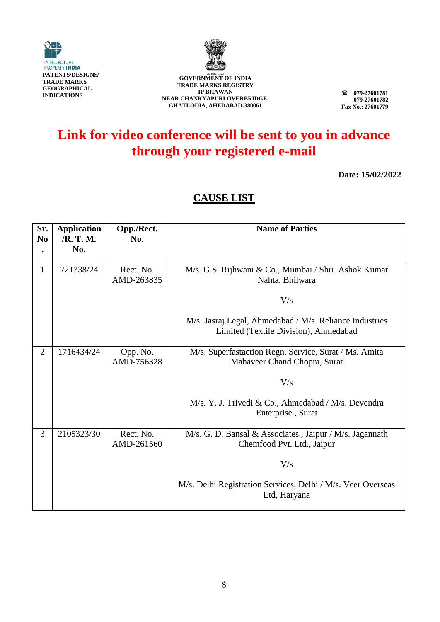



**079-27601781 079-27601782 Fax No.: 27601779**

## **Link for video conference will be sent to you in advance through your registered e-mail**

**Date: 15/02/2022**

| Sr.<br>N <sub>0</sub> | <b>Application</b><br>/R. T. M.<br>No. | Opp./Rect.<br>No.       | <b>Name of Parties</b>                                                                           |
|-----------------------|----------------------------------------|-------------------------|--------------------------------------------------------------------------------------------------|
| 1                     | 721338/24                              | Rect. No.<br>AMD-263835 | M/s. G.S. Rijhwani & Co., Mumbai / Shri. Ashok Kumar<br>Nahta, Bhilwara                          |
|                       |                                        |                         | V/s                                                                                              |
|                       |                                        |                         | M/s. Jasraj Legal, Ahmedabad / M/s. Reliance Industries<br>Limited (Textile Division), Ahmedabad |
| $\overline{2}$        | 1716434/24                             | Opp. No.<br>AMD-756328  | M/s. Superfastaction Regn. Service, Surat / Ms. Amita<br>Mahaveer Chand Chopra, Surat            |
|                       |                                        |                         | V/s                                                                                              |
|                       |                                        |                         | M/s. Y. J. Trivedi & Co., Ahmedabad / M/s. Devendra<br>Enterprise., Surat                        |
| 3                     | 2105323/30                             | Rect. No.<br>AMD-261560 | M/s. G. D. Bansal & Associates., Jaipur / M/s. Jagannath<br>Chemfood Pvt. Ltd., Jaipur           |
|                       |                                        |                         | V/s                                                                                              |
|                       |                                        |                         | M/s. Delhi Registration Services, Delhi / M/s. Veer Overseas<br>Ltd, Haryana                     |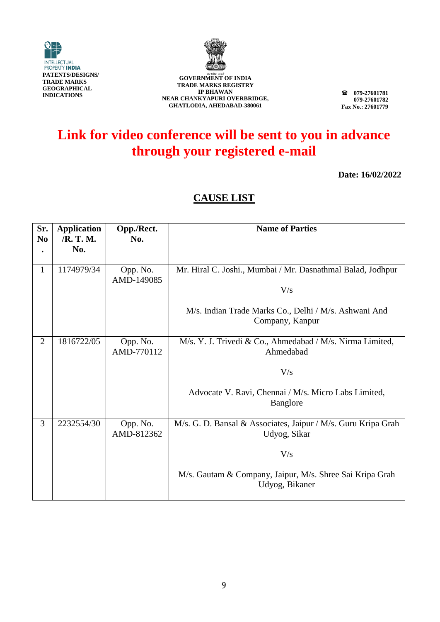



**079-27601781 079-27601782 Fax No.: 27601779**

# **Link for video conference will be sent to you in advance through your registered e-mail**

**Date: 16/02/2022**

| Sr.<br>N <sub>0</sub> | <b>Application</b><br>/R. T. M. | Opp./Rect.<br>No.      | <b>Name of Parties</b>                                                        |
|-----------------------|---------------------------------|------------------------|-------------------------------------------------------------------------------|
|                       | No.                             |                        |                                                                               |
| $\mathbf{1}$          | 1174979/34                      | Opp. No.<br>AMD-149085 | Mr. Hiral C. Joshi., Mumbai / Mr. Dasnathmal Balad, Jodhpur<br>V/s            |
|                       |                                 |                        | M/s. Indian Trade Marks Co., Delhi / M/s. Ashwani And<br>Company, Kanpur      |
| $\overline{2}$        | 1816722/05                      | Opp. No.<br>AMD-770112 | M/s. Y. J. Trivedi & Co., Ahmedabad / M/s. Nirma Limited,<br>Ahmedabad        |
|                       |                                 |                        | V/s                                                                           |
|                       |                                 |                        | Advocate V. Ravi, Chennai / M/s. Micro Labs Limited,<br><b>Banglore</b>       |
| 3                     | 2232554/30                      | Opp. No.<br>AMD-812362 | M/s. G. D. Bansal & Associates, Jaipur / M/s. Guru Kripa Grah<br>Udyog, Sikar |
|                       |                                 |                        | V/s                                                                           |
|                       |                                 |                        | M/s. Gautam & Company, Jaipur, M/s. Shree Sai Kripa Grah<br>Udyog, Bikaner    |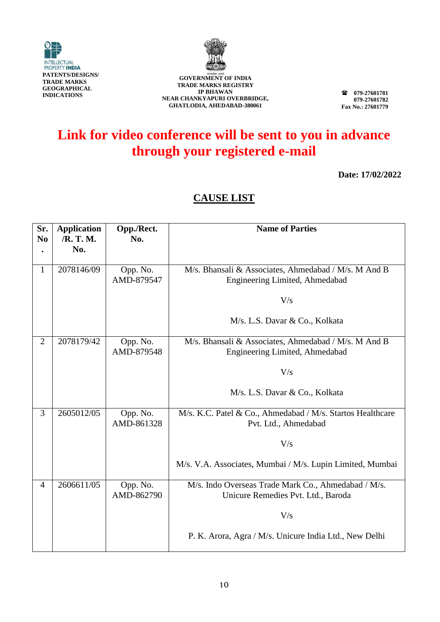



**079-27601781 079-27601782 Fax No.: 27601779**

## **Link for video conference will be sent to you in advance through your registered e-mail**

**Date: 17/02/2022**

| Sr.            | <b>Application</b> | Opp./Rect.             | <b>Name of Parties</b>                                                                    |
|----------------|--------------------|------------------------|-------------------------------------------------------------------------------------------|
| N <sub>0</sub> | /R. T. M.<br>No.   | No.                    |                                                                                           |
|                |                    |                        |                                                                                           |
| $\mathbf{1}$   | 2078146/09         | Opp. No.<br>AMD-879547 | M/s. Bhansali & Associates, Ahmedabad / M/s. M And B<br>Engineering Limited, Ahmedabad    |
|                |                    |                        | V/s                                                                                       |
|                |                    |                        | M/s. L.S. Davar & Co., Kolkata                                                            |
| $\overline{2}$ | 2078179/42         | Opp. No.<br>AMD-879548 | M/s. Bhansali & Associates, Ahmedabad / M/s. M And B<br>Engineering Limited, Ahmedabad    |
|                |                    |                        | V/s                                                                                       |
|                |                    |                        | M/s. L.S. Davar & Co., Kolkata                                                            |
| 3              | 2605012/05         | Opp. No.<br>AMD-861328 | M/s. K.C. Patel & Co., Ahmedabad / M/s. Startos Healthcare<br>Pvt. Ltd., Ahmedabad        |
|                |                    |                        | V/s                                                                                       |
|                |                    |                        | M/s. V.A. Associates, Mumbai / M/s. Lupin Limited, Mumbai                                 |
| $\overline{4}$ | 2606611/05         | Opp. No.<br>AMD-862790 | M/s. Indo Overseas Trade Mark Co., Ahmedabad / M/s.<br>Unicure Remedies Pvt. Ltd., Baroda |
|                |                    |                        | V/s                                                                                       |
|                |                    |                        | P. K. Arora, Agra / M/s. Unicure India Ltd., New Delhi                                    |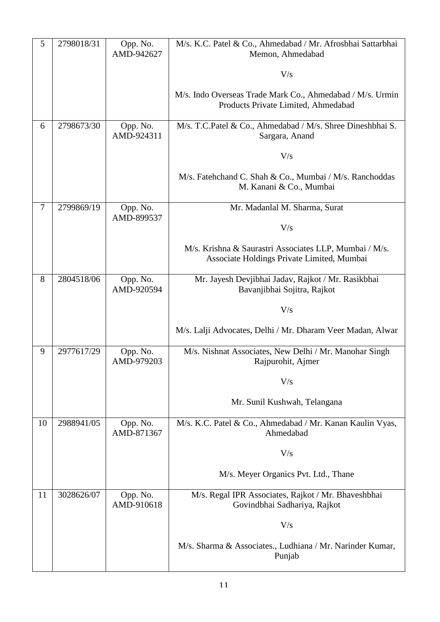| 5              | 2798018/31 | Opp. No.<br>AMD-942627 | M/s. K.C. Patel & Co., Ahmedabad / Mr. Afrosbhai Sattarbhai<br>Memon, Ahmedabad                      |
|----------------|------------|------------------------|------------------------------------------------------------------------------------------------------|
|                |            |                        |                                                                                                      |
|                |            |                        | V/s                                                                                                  |
|                |            |                        | M/s. Indo Overseas Trade Mark Co., Ahmedabad / M/s. Urmin<br>Products Private Limited, Ahmedabad     |
| 6              | 2798673/30 | Opp. No.<br>AMD-924311 | M/s. T.C.Patel & Co., Ahmedabad / M/s. Shree Dineshbhai S.<br>Sargara, Anand                         |
|                |            |                        | V/s                                                                                                  |
|                |            |                        | M/s. Fatehchand C. Shah & Co., Mumbai / M/s. Ranchoddas<br>M. Kanani & Co., Mumbai                   |
| $\overline{7}$ | 2799869/19 | Opp. No.<br>AMD-899537 | Mr. Madanlal M. Sharma, Surat                                                                        |
|                |            |                        | V/s                                                                                                  |
|                |            |                        | M/s. Krishna & Saurastri Associates LLP, Mumbai / M/s.<br>Associate Holdings Private Limited, Mumbai |
| 8              | 2804518/06 | Opp. No.<br>AMD-920594 | Mr. Jayesh Devjibhai Jadav, Rajkot / Mr. Rasikbhai<br>Bavanjibhai Sojitra, Rajkot                    |
|                |            |                        | V/s                                                                                                  |
|                |            |                        | M/s. Lalji Advocates, Delhi / Mr. Dharam Veer Madan, Alwar                                           |
| 9              | 2977617/29 | Opp. No.<br>AMD-979203 | M/s. Nishnat Associates, New Delhi / Mr. Manohar Singh<br>Rajpurohit, Ajmer                          |
|                |            |                        | V/s                                                                                                  |
|                |            |                        | Mr. Sunil Kushwah, Telangana                                                                         |
| 10             | 2988941/05 | Opp. No.<br>AMD-871367 | M/s. K.C. Patel & Co., Ahmedabad / Mr. Kanan Kaulin Vyas,<br>Ahmedabad                               |
|                |            |                        | V/s                                                                                                  |
|                |            |                        | M/s. Meyer Organics Pvt. Ltd., Thane                                                                 |
| 11             | 3028626/07 | Opp. No.<br>AMD-910618 | M/s. Regal IPR Associates, Rajkot / Mr. Bhaveshbhai<br>Govindbhai Sadhariya, Rajkot                  |
|                |            |                        | V/s                                                                                                  |
|                |            |                        | M/s. Sharma & Associates., Ludhiana / Mr. Narinder Kumar,<br>Punjab                                  |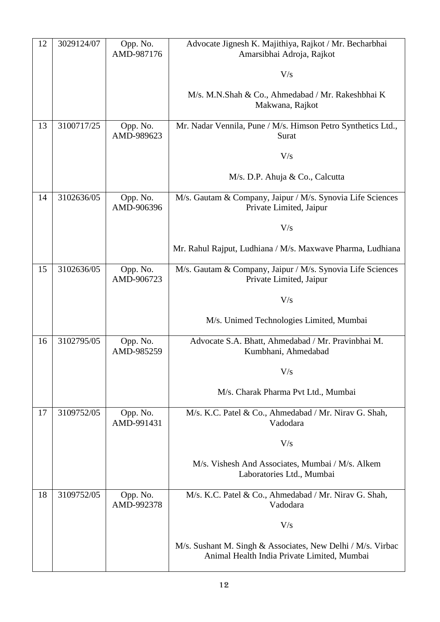| 12 | 3029124/07 | Opp. No.<br>AMD-987176 | Advocate Jignesh K. Majithiya, Rajkot / Mr. Becharbhai<br>Amarsibhai Adroja, Rajkot                        |
|----|------------|------------------------|------------------------------------------------------------------------------------------------------------|
|    |            |                        | V/s                                                                                                        |
|    |            |                        | M/s. M.N.Shah & Co., Ahmedabad / Mr. Rakeshbhai K<br>Makwana, Rajkot                                       |
| 13 | 3100717/25 | Opp. No.<br>AMD-989623 | Mr. Nadar Vennila, Pune / M/s. Himson Petro Synthetics Ltd.,<br>Surat                                      |
|    |            |                        | V/s                                                                                                        |
|    |            |                        | M/s. D.P. Ahuja & Co., Calcutta                                                                            |
| 14 | 3102636/05 | Opp. No.<br>AMD-906396 | M/s. Gautam & Company, Jaipur / M/s. Synovia Life Sciences<br>Private Limited, Jaipur                      |
|    |            |                        | V/s                                                                                                        |
|    |            |                        | Mr. Rahul Rajput, Ludhiana / M/s. Maxwave Pharma, Ludhiana                                                 |
| 15 | 3102636/05 | Opp. No.<br>AMD-906723 | M/s. Gautam & Company, Jaipur / M/s. Synovia Life Sciences<br>Private Limited, Jaipur                      |
|    |            |                        | V/s                                                                                                        |
|    |            |                        | M/s. Unimed Technologies Limited, Mumbai                                                                   |
| 16 | 3102795/05 | Opp. No.<br>AMD-985259 | Advocate S.A. Bhatt, Ahmedabad / Mr. Pravinbhai M.<br>Kumbhani, Ahmedabad                                  |
|    |            |                        | V/s                                                                                                        |
|    |            |                        | M/s. Charak Pharma Pvt Ltd., Mumbai                                                                        |
| 17 | 3109752/05 | Opp. No.<br>AMD-991431 | M/s. K.C. Patel & Co., Ahmedabad / Mr. Nirav G. Shah,<br>Vadodara                                          |
|    |            |                        | V/s                                                                                                        |
|    |            |                        | M/s. Vishesh And Associates, Mumbai / M/s. Alkem<br>Laboratories Ltd., Mumbai                              |
| 18 | 3109752/05 | Opp. No.<br>AMD-992378 | M/s. K.C. Patel & Co., Ahmedabad / Mr. Nirav G. Shah,<br>Vadodara                                          |
|    |            |                        | V/s                                                                                                        |
|    |            |                        | M/s. Sushant M. Singh & Associates, New Delhi / M/s. Virbac<br>Animal Health India Private Limited, Mumbai |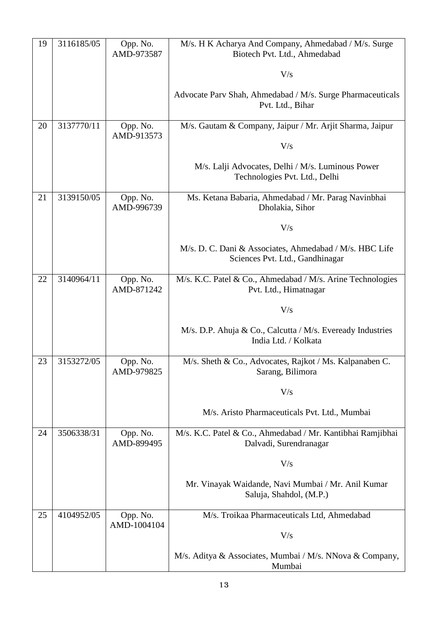| 19 | 3116185/05 | Opp. No.<br>AMD-973587  | M/s. H K Acharya And Company, Ahmedabad / M/s. Surge<br>Biotech Pvt. Ltd., Ahmedabad       |
|----|------------|-------------------------|--------------------------------------------------------------------------------------------|
|    |            |                         | V/s                                                                                        |
|    |            |                         | Advocate Parv Shah, Ahmedabad / M/s. Surge Pharmaceuticals<br>Pvt. Ltd., Bihar             |
| 20 | 3137770/11 | Opp. No.<br>AMD-913573  | M/s. Gautam & Company, Jaipur / Mr. Arjit Sharma, Jaipur                                   |
|    |            |                         | V/s                                                                                        |
|    |            |                         | M/s. Lalji Advocates, Delhi / M/s. Luminous Power<br>Technologies Pvt. Ltd., Delhi         |
| 21 | 3139150/05 | Opp. No.<br>AMD-996739  | Ms. Ketana Babaria, Ahmedabad / Mr. Parag Navinbhai<br>Dholakia, Sihor                     |
|    |            |                         | V/s                                                                                        |
|    |            |                         | M/s. D. C. Dani & Associates, Ahmedabad / M/s. HBC Life<br>Sciences Pvt. Ltd., Gandhinagar |
| 22 | 3140964/11 | Opp. No.<br>AMD-871242  | M/s. K.C. Patel & Co., Ahmedabad / M/s. Arine Technologies<br>Pvt. Ltd., Himatnagar        |
|    |            |                         | V/s                                                                                        |
|    |            |                         | M/s. D.P. Ahuja & Co., Calcutta / M/s. Eveready Industries<br>India Ltd. / Kolkata         |
| 23 | 3153272/05 | Opp. No.<br>AMD-979825  | M/s. Sheth & Co., Advocates, Rajkot / Ms. Kalpanaben C.<br>Sarang, Bilimora                |
|    |            |                         | V/s                                                                                        |
|    |            |                         | M/s. Aristo Pharmaceuticals Pvt. Ltd., Mumbai                                              |
| 24 | 3506338/31 | Opp. No.<br>AMD-899495  | M/s. K.C. Patel & Co., Ahmedabad / Mr. Kantibhai Ramjibhai<br>Dalvadi, Surendranagar       |
|    |            |                         | V/s                                                                                        |
|    |            |                         | Mr. Vinayak Waidande, Navi Mumbai / Mr. Anil Kumar<br>Saluja, Shahdol, (M.P.)              |
| 25 | 4104952/05 | Opp. No.<br>AMD-1004104 | M/s. Troikaa Pharmaceuticals Ltd, Ahmedabad                                                |
|    |            |                         | V/s                                                                                        |
|    |            |                         | M/s. Aditya & Associates, Mumbai / M/s. NNova & Company,<br>Mumbai                         |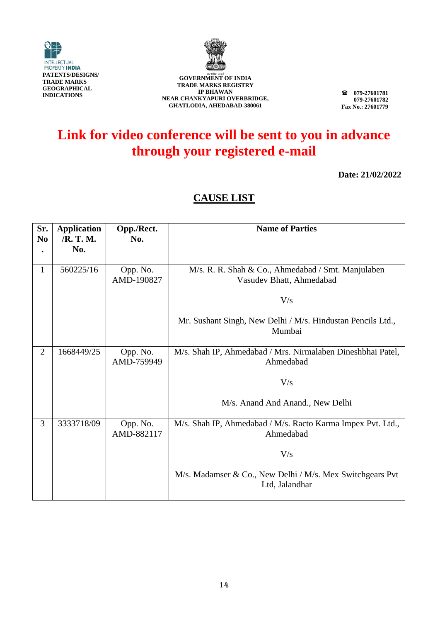



**079-27601781 079-27601782 Fax No.: 27601779**

## **Link for video conference will be sent to you in advance through your registered e-mail**

**Date: 21/02/2022**

| Sr.<br>N <sub>0</sub> | <b>Application</b><br>/R. T. M. | Opp./Rect.<br>No.      | <b>Name of Parties</b>                                                      |
|-----------------------|---------------------------------|------------------------|-----------------------------------------------------------------------------|
|                       | No.                             |                        |                                                                             |
| $\mathbf{1}$          | 560225/16                       | Opp. No.               | M/s. R. R. Shah & Co., Ahmedabad / Smt. Manjulaben                          |
|                       |                                 | AMD-190827             | Vasudev Bhatt, Ahmedabad                                                    |
|                       |                                 |                        | V/s                                                                         |
|                       |                                 |                        | Mr. Sushant Singh, New Delhi / M/s. Hindustan Pencils Ltd.,<br>Mumbai       |
| $\overline{2}$        | 1668449/25                      | Opp. No.<br>AMD-759949 | M/s. Shah IP, Ahmedabad / Mrs. Nirmalaben Dineshbhai Patel,<br>Ahmedabad    |
|                       |                                 |                        | V/s                                                                         |
|                       |                                 |                        | M/s. Anand And Anand., New Delhi                                            |
| 3                     | 3333718/09                      | Opp. No.<br>AMD-882117 | M/s. Shah IP, Ahmedabad / M/s. Racto Karma Impex Pvt. Ltd.,<br>Ahmedabad    |
|                       |                                 |                        | V/s                                                                         |
|                       |                                 |                        | M/s. Madamser & Co., New Delhi / M/s. Mex Switchgears Pvt<br>Ltd, Jalandhar |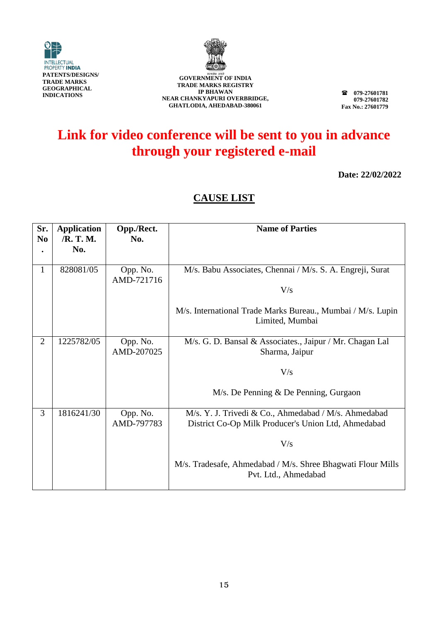



**TRADE MARKS REGISTRY IP BHAWAN NEAR CHANKYAPURI OVERBRIDGE, GHATLODIA, AHEDABAD-380061**

**079-27601781 079-27601782 Fax No.: 27601779**

## **Link for video conference will be sent to you in advance through your registered e-mail**

**Date: 22/02/2022**

| Sr.            | <b>Application</b><br>/R. T. M. | Opp./Rect.             | <b>Name of Parties</b>                                                                                      |
|----------------|---------------------------------|------------------------|-------------------------------------------------------------------------------------------------------------|
| N <sub>0</sub> | No.                             | No.                    |                                                                                                             |
|                |                                 |                        |                                                                                                             |
| 1              | 828081/05                       | Opp. No.<br>AMD-721716 | M/s. Babu Associates, Chennai / M/s. S. A. Engreji, Surat                                                   |
|                |                                 |                        | V/s                                                                                                         |
|                |                                 |                        | M/s. International Trade Marks Bureau., Mumbai / M/s. Lupin<br>Limited, Mumbai                              |
| $\overline{2}$ | 1225782/05                      | Opp. No.<br>AMD-207025 | M/s. G. D. Bansal & Associates., Jaipur / Mr. Chagan Lal<br>Sharma, Jaipur                                  |
|                |                                 |                        | V/s                                                                                                         |
|                |                                 |                        | $M/s$ . De Penning & De Penning, Gurgaon                                                                    |
| 3              | 1816241/30                      | Opp. No.<br>AMD-797783 | M/s. Y. J. Trivedi & Co., Ahmedabad / M/s. Ahmedabad<br>District Co-Op Milk Producer's Union Ltd, Ahmedabad |
|                |                                 |                        | V/s                                                                                                         |
|                |                                 |                        | M/s. Tradesafe, Ahmedabad / M/s. Shree Bhagwati Flour Mills<br>Pvt. Ltd., Ahmedabad                         |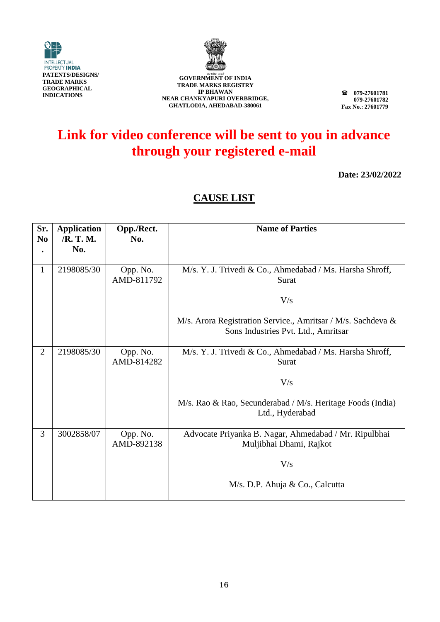



**079-27601781 079-27601782 Fax No.: 27601779**

## **Link for video conference will be sent to you in advance through your registered e-mail**

**Date: 23/02/2022**

| Sr.<br>N <sub>0</sub> | <b>Application</b><br>/R. T. M. | Opp./Rect.<br>No.      | <b>Name of Parties</b>                                                                              |
|-----------------------|---------------------------------|------------------------|-----------------------------------------------------------------------------------------------------|
|                       | No.                             |                        |                                                                                                     |
| $\mathbf{1}$          | 2198085/30                      | Opp. No.<br>AMD-811792 | M/s. Y. J. Trivedi & Co., Ahmedabad / Ms. Harsha Shroff,<br>Surat                                   |
|                       |                                 |                        | V/s                                                                                                 |
|                       |                                 |                        | M/s. Arora Registration Service., Amritsar / M/s. Sachdeva &<br>Sons Industries Pvt. Ltd., Amritsar |
| $\overline{2}$        | 2198085/30                      | Opp. No.<br>AMD-814282 | M/s. Y. J. Trivedi & Co., Ahmedabad / Ms. Harsha Shroff,<br>Surat                                   |
|                       |                                 |                        | V/s                                                                                                 |
|                       |                                 |                        | M/s. Rao & Rao, Secunderabad / M/s. Heritage Foods (India)<br>Ltd., Hyderabad                       |
| 3                     | 3002858/07                      | Opp. No.<br>AMD-892138 | Advocate Priyanka B. Nagar, Ahmedabad / Mr. Ripulbhai<br>Muljibhai Dhami, Rajkot                    |
|                       |                                 |                        | V/s                                                                                                 |
|                       |                                 |                        | M/s. D.P. Ahuja & Co., Calcutta                                                                     |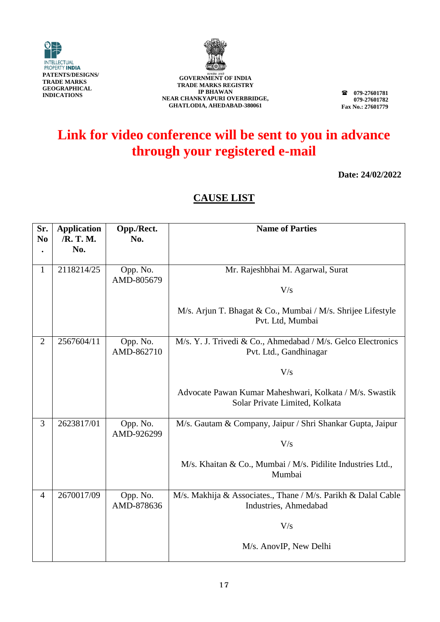



**079-27601781 079-27601782 Fax No.: 27601779**

## **Link for video conference will be sent to you in advance through your registered e-mail**

**Date: 24/02/2022**

| Sr.<br>N <sub>0</sub> | <b>Application</b><br>/R. T. M. | Opp./Rect.<br>No.      | <b>Name of Parties</b>                                                                    |
|-----------------------|---------------------------------|------------------------|-------------------------------------------------------------------------------------------|
|                       | No.                             |                        |                                                                                           |
| $\mathbf{1}$          | 2118214/25                      | Opp. No.<br>AMD-805679 | Mr. Rajeshbhai M. Agarwal, Surat<br>V/s                                                   |
|                       |                                 |                        | M/s. Arjun T. Bhagat & Co., Mumbai / M/s. Shrijee Lifestyle<br>Pvt. Ltd, Mumbai           |
| $\overline{2}$        | 2567604/11                      | Opp. No.<br>AMD-862710 | M/s. Y. J. Trivedi & Co., Ahmedabad / M/s. Gelco Electronics<br>Pvt. Ltd., Gandhinagar    |
|                       |                                 |                        | V/s                                                                                       |
|                       |                                 |                        | Advocate Pawan Kumar Maheshwari, Kolkata / M/s. Swastik<br>Solar Private Limited, Kolkata |
| 3                     | 2623817/01                      | Opp. No.<br>AMD-926299 | M/s. Gautam & Company, Jaipur / Shri Shankar Gupta, Jaipur                                |
|                       |                                 |                        | V/s                                                                                       |
|                       |                                 |                        | M/s. Khaitan & Co., Mumbai / M/s. Pidilite Industries Ltd.,<br>Mumbai                     |
| $\overline{4}$        | 2670017/09                      | Opp. No.<br>AMD-878636 | M/s. Makhija & Associates., Thane / M/s. Parikh & Dalal Cable<br>Industries, Ahmedabad    |
|                       |                                 |                        | V/s                                                                                       |
|                       |                                 |                        | M/s. AnovIP, New Delhi                                                                    |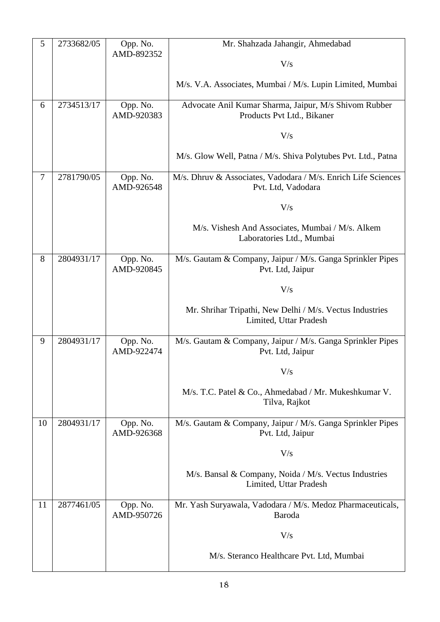| 5              | 2733682/05 | Opp. No.               | Mr. Shahzada Jahangir, Ahmedabad                                                    |
|----------------|------------|------------------------|-------------------------------------------------------------------------------------|
|                |            | AMD-892352             | V/s                                                                                 |
|                |            |                        |                                                                                     |
|                |            |                        | M/s. V.A. Associates, Mumbai / M/s. Lupin Limited, Mumbai                           |
| 6              | 2734513/17 | Opp. No.               | Advocate Anil Kumar Sharma, Jaipur, M/s Shivom Rubber                               |
|                |            | AMD-920383             | Products Pvt Ltd., Bikaner                                                          |
|                |            |                        | V/s                                                                                 |
|                |            |                        | M/s. Glow Well, Patna / M/s. Shiva Polytubes Pvt. Ltd., Patna                       |
| $\overline{7}$ | 2781790/05 | Opp. No.<br>AMD-926548 | M/s. Dhruv & Associates, Vadodara / M/s. Enrich Life Sciences<br>Pvt. Ltd, Vadodara |
|                |            |                        | V/s                                                                                 |
|                |            |                        | M/s. Vishesh And Associates, Mumbai / M/s. Alkem<br>Laboratories Ltd., Mumbai       |
| 8              | 2804931/17 | Opp. No.<br>AMD-920845 | M/s. Gautam & Company, Jaipur / M/s. Ganga Sprinkler Pipes<br>Pvt. Ltd, Jaipur      |
|                |            |                        | V/s                                                                                 |
|                |            |                        | Mr. Shrihar Tripathi, New Delhi / M/s. Vectus Industries<br>Limited, Uttar Pradesh  |
| 9              | 2804931/17 | Opp. No.<br>AMD-922474 | M/s. Gautam & Company, Jaipur / M/s. Ganga Sprinkler Pipes<br>Pvt. Ltd, Jaipur      |
|                |            |                        | V/s                                                                                 |
|                |            |                        | M/s. T.C. Patel & Co., Ahmedabad / Mr. Mukeshkumar V.<br>Tilva, Rajkot              |
| 10             | 2804931/17 | Opp. No.<br>AMD-926368 | M/s. Gautam & Company, Jaipur / M/s. Ganga Sprinkler Pipes<br>Pvt. Ltd, Jaipur      |
|                |            |                        | V/s                                                                                 |
|                |            |                        | M/s. Bansal & Company, Noida / M/s. Vectus Industries<br>Limited, Uttar Pradesh     |
| 11             | 2877461/05 | Opp. No.<br>AMD-950726 | Mr. Yash Suryawala, Vadodara / M/s. Medoz Pharmaceuticals,<br>Baroda                |
|                |            |                        | V/s                                                                                 |
|                |            |                        | M/s. Steranco Healthcare Pvt. Ltd, Mumbai                                           |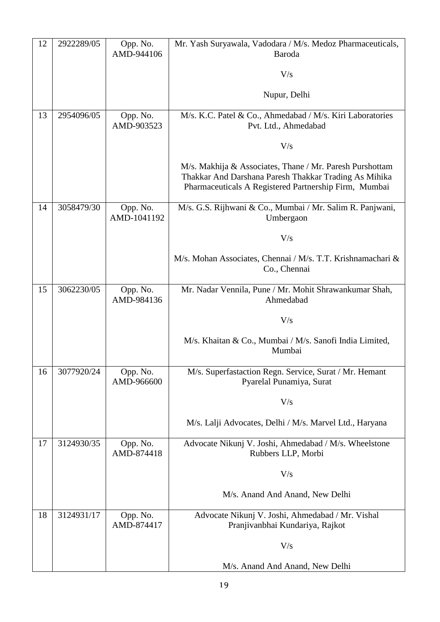| 12 | 2922289/05 | Opp. No.<br>AMD-944106  | Mr. Yash Suryawala, Vadodara / M/s. Medoz Pharmaceuticals,<br>Baroda                                                                                                       |
|----|------------|-------------------------|----------------------------------------------------------------------------------------------------------------------------------------------------------------------------|
|    |            |                         | V/s                                                                                                                                                                        |
|    |            |                         | Nupur, Delhi                                                                                                                                                               |
| 13 | 2954096/05 | Opp. No.<br>AMD-903523  | M/s. K.C. Patel & Co., Ahmedabad / M/s. Kiri Laboratories<br>Pvt. Ltd., Ahmedabad                                                                                          |
|    |            |                         | V/s                                                                                                                                                                        |
|    |            |                         | M/s. Makhija & Associates, Thane / Mr. Paresh Purshottam<br>Thakkar And Darshana Paresh Thakkar Trading As Mihika<br>Pharmaceuticals A Registered Partnership Firm, Mumbai |
| 14 | 3058479/30 | Opp. No.<br>AMD-1041192 | M/s. G.S. Rijhwani & Co., Mumbai / Mr. Salim R. Panjwani,<br>Umbergaon                                                                                                     |
|    |            |                         | V/s                                                                                                                                                                        |
|    |            |                         | M/s. Mohan Associates, Chennai / M/s. T.T. Krishnamachari &<br>Co., Chennai                                                                                                |
| 15 | 3062230/05 | Opp. No.<br>AMD-984136  | Mr. Nadar Vennila, Pune / Mr. Mohit Shrawankumar Shah,<br>Ahmedabad                                                                                                        |
|    |            |                         | V/s                                                                                                                                                                        |
|    |            |                         | M/s. Khaitan & Co., Mumbai / M/s. Sanofi India Limited,<br>Mumbai                                                                                                          |
| 16 | 3077920/24 | Opp. No.<br>AMD-966600  | M/s. Superfastaction Regn. Service, Surat / Mr. Hemant<br>Pyarelal Punamiya, Surat                                                                                         |
|    |            |                         | V/s                                                                                                                                                                        |
|    |            |                         | M/s. Lalji Advocates, Delhi / M/s. Marvel Ltd., Haryana                                                                                                                    |
| 17 | 3124930/35 | Opp. No.<br>AMD-874418  | Advocate Nikunj V. Joshi, Ahmedabad / M/s. Wheelstone<br>Rubbers LLP, Morbi                                                                                                |
|    |            |                         | V/s                                                                                                                                                                        |
|    |            |                         | M/s. Anand And Anand, New Delhi                                                                                                                                            |
| 18 | 3124931/17 | Opp. No.<br>AMD-874417  | Advocate Nikunj V. Joshi, Ahmedabad / Mr. Vishal<br>Pranjivanbhai Kundariya, Rajkot                                                                                        |
|    |            |                         | V/s                                                                                                                                                                        |
|    |            |                         | M/s. Anand And Anand, New Delhi                                                                                                                                            |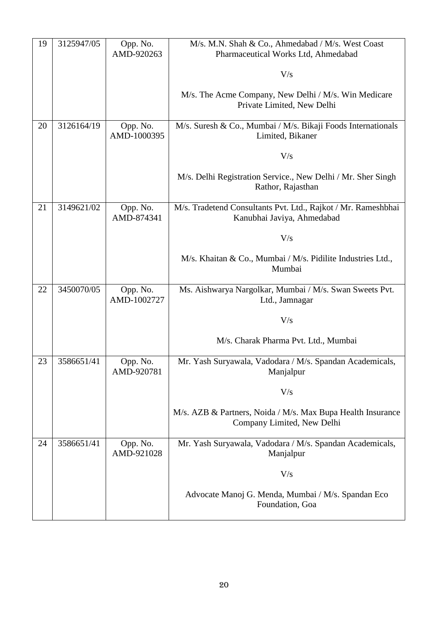| 19 | 3125947/05 | Opp. No.<br>AMD-920263  | M/s. M.N. Shah & Co., Ahmedabad / M/s. West Coast<br>Pharmaceutical Works Ltd, Ahmedabad    |
|----|------------|-------------------------|---------------------------------------------------------------------------------------------|
|    |            |                         |                                                                                             |
|    |            |                         | V/s                                                                                         |
|    |            |                         | M/s. The Acme Company, New Delhi / M/s. Win Medicare<br>Private Limited, New Delhi          |
| 20 | 3126164/19 | Opp. No.<br>AMD-1000395 | M/s. Suresh & Co., Mumbai / M/s. Bikaji Foods Internationals<br>Limited, Bikaner            |
|    |            |                         | V/s                                                                                         |
|    |            |                         | M/s. Delhi Registration Service., New Delhi / Mr. Sher Singh<br>Rathor, Rajasthan           |
| 21 | 3149621/02 | Opp. No.<br>AMD-874341  | M/s. Tradetend Consultants Pvt. Ltd., Rajkot / Mr. Rameshbhai<br>Kanubhai Javiya, Ahmedabad |
|    |            |                         | V/s                                                                                         |
|    |            |                         | M/s. Khaitan & Co., Mumbai / M/s. Pidilite Industries Ltd.,<br>Mumbai                       |
| 22 | 3450070/05 | Opp. No.<br>AMD-1002727 | Ms. Aishwarya Nargolkar, Mumbai / M/s. Swan Sweets Pvt.<br>Ltd., Jamnagar                   |
|    |            |                         | V/s                                                                                         |
|    |            |                         | M/s. Charak Pharma Pvt. Ltd., Mumbai                                                        |
| 23 | 3586651/41 | Opp. No.<br>AMD-920781  | Mr. Yash Suryawala, Vadodara / M/s. Spandan Academicals,<br>Manjalpur                       |
|    |            |                         | V/s                                                                                         |
|    |            |                         | M/s. AZB & Partners, Noida / M/s. Max Bupa Health Insurance<br>Company Limited, New Delhi   |
| 24 | 3586651/41 | Opp. No.<br>AMD-921028  | Mr. Yash Suryawala, Vadodara / M/s. Spandan Academicals,<br>Manjalpur                       |
|    |            |                         | V/s                                                                                         |
|    |            |                         | Advocate Manoj G. Menda, Mumbai / M/s. Spandan Eco<br>Foundation, Goa                       |